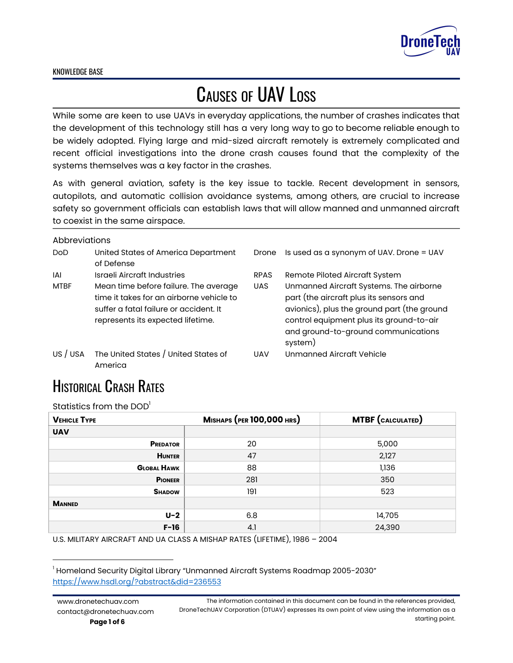

# CAUSES OF UAV LOSS

While some are keen to use UAVs in everyday applications, the number of crashes indicates that the development of this technology still has a very long way to go to become reliable enough to be widely adopted. Flying large and mid-sized aircraft remotely is extremely complicated and recent official investigations into the drone crash causes found that the complexity of the systems themselves was a key factor in the crashes.

As with general aviation, safety is the key issue to tackle. Recent development in sensors, autopilots, and automatic collision avoidance systems, among others, are crucial to increase safety so government officials can establish laws that will allow manned and unmanned aircraft to coexist in the same airspace.

#### **Abbreviations**

| ,,,,,,,,,,,,,,,,, |                                                                                                                                                                  |             |                                                                                                                                                                                                                                 |
|-------------------|------------------------------------------------------------------------------------------------------------------------------------------------------------------|-------------|---------------------------------------------------------------------------------------------------------------------------------------------------------------------------------------------------------------------------------|
| DoD               | United States of America Department<br>of Defense                                                                                                                | Drone       | Is used as a synonym of UAV. Drone = UAV                                                                                                                                                                                        |
| IAI               | Israeli Aircraft Industries                                                                                                                                      | <b>RPAS</b> | Remote Piloted Aircraft System                                                                                                                                                                                                  |
| <b>MTBF</b>       | Mean time before failure. The average<br>time it takes for an airborne vehicle to<br>suffer a fatal failure or accident. It<br>represents its expected lifetime. | <b>UAS</b>  | Unmanned Aircraft Systems. The airborne<br>part (the aircraft plus its sensors and<br>avionics), plus the ground part (the ground<br>control equipment plus its ground-to-air<br>and ground-to-ground communications<br>system) |
| US / USA          | The United States / United States of<br>America                                                                                                                  | <b>UAV</b>  | Unmanned Aircraft Vehicle                                                                                                                                                                                                       |

### **HISTORICAL CRASH RATES**

Statistics from the DOD $^{\rm l}$ 

| <b>VEHICLE TYPE</b> | <b>MISHAPS (PER 100,000 HRS)</b> | <b>MTBF</b> (CALCULATED) |
|---------------------|----------------------------------|--------------------------|
| <b>UAV</b>          |                                  |                          |
| <b>PREDATOR</b>     | 20                               | 5,000                    |
| <b>HUNTER</b>       | 47                               | 2,127                    |
| <b>GLOBAL HAWK</b>  | 88                               | 1,136                    |
| <b>PIONEER</b>      | 281                              | 350                      |
| <b>SHADOW</b>       | 191                              | 523                      |
| <b>MANNED</b>       |                                  |                          |
| $U-2$               | 6.8                              | 14,705                   |
| $F-16$              | 4.1                              | 24,390                   |

U.S. MILITARY AIRCRAFT AND UA CLASS A MISHAP RATES (LIFETIME), 1986 – 2004

 $<sup>1</sup>$  Homeland Security Digital Library "Unmanned Aircraft Systems Roadmap 2005-2030"</sup> <https://www.hsdl.org/?abstract&did=236553>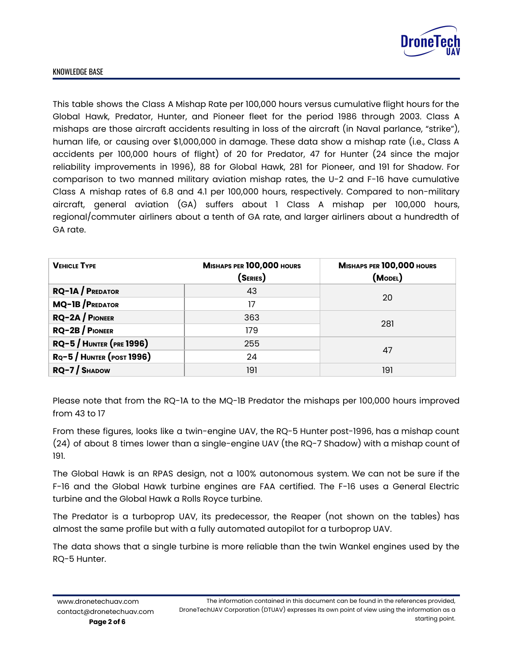

This table shows the Class A Mishap Rate per 100,000 hours versus cumulative flight hours for the Global Hawk, Predator, Hunter, and Pioneer fleet for the period 1986 through 2003. Class A mishaps are those aircraft accidents resulting in loss of the aircraft (in Naval parlance, "strike"), human life, or causing over \$1,000,000 in damage. These data show a mishap rate (i.e., Class A accidents per 100,000 hours of flight) of 20 for Predator, 47 for Hunter (24 since the major reliability improvements in 1996), 88 for Global Hawk, 281 for Pioneer, and 191 for Shadow. For comparison to two manned military aviation mishap rates, the U-2 and F-16 have cumulative Class A mishap rates of 6.8 and 4.1 per 100,000 hours, respectively. Compared to non-military aircraft, general aviation (GA) suffers about 1 Class A mishap per 100,000 hours, regional/commuter airliners about a tenth of GA rate, and larger airliners about a hundredth of GA rate.

| <b>VEHICLE TYPE</b>           | MISHAPS PER 100,000 HOURS<br>(Series) | MISHAPS PER 100,000 HOURS<br>(MODEL) |  |
|-------------------------------|---------------------------------------|--------------------------------------|--|
| $RQ-1A / P$ REDATOR           | 43                                    | 20                                   |  |
| MQ-1B/PREDATOR                | 17                                    |                                      |  |
| $RQ-2A /$ PIONEER             | 363                                   |                                      |  |
| $RQ-2B/$ PIONEER              | 179                                   | 281                                  |  |
| <b>RQ-5/HUNTER (PRE 1996)</b> | 255                                   | 47                                   |  |
| $RQ - 5$ / HUNTER (POST 1996) | 24                                    |                                      |  |
| $RQ-7/$ SHADOW                | 191                                   | 191                                  |  |

Please note that from the RQ-1A to the MQ-1B Predator the mishaps per 100,000 hours improved from 43 to 17

From these figures, looks like a twin-engine UAV, the RQ-5 Hunter post-1996, has a mishap count (24) of about 8 times lower than a single-engine UAV (the RQ-7 Shadow) with a mishap count of 191.

The Global Hawk is an RPAS design, not a 100% autonomous system. We can not be sure if the F-16 and the Global Hawk turbine engines are FAA certified. The F-16 uses a General Electric turbine and the Global Hawk a Rolls Royce turbine.

The Predator is a turboprop UAV, its predecessor, the Reaper (not shown on the tables) has almost the same profile but with a fully automated autopilot for a turboprop UAV.

The data shows that a single turbine is more reliable than the twin Wankel engines used by the RQ-5 Hunter.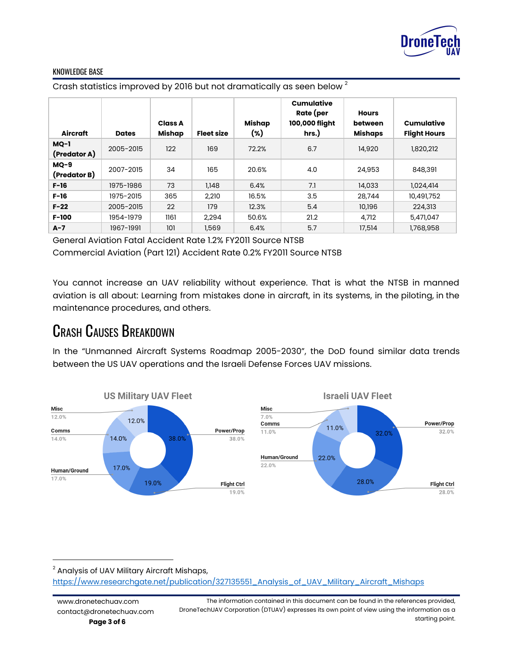

Crash statistics improved by 2016 but not dramatically as seen below  $^{\text{2}}$ 

| Aircraft               | <b>Dates</b> | <b>Class A</b><br>Mishap | <b>Fleet size</b> | Mishap<br>(%) | Cumulative<br>Rate (per<br>100,000 flight<br>hrs.) | <b>Hours</b><br>between<br><b>Mishaps</b> | <b>Cumulative</b><br><b>Flight Hours</b> |
|------------------------|--------------|--------------------------|-------------------|---------------|----------------------------------------------------|-------------------------------------------|------------------------------------------|
| $MQ-1$<br>(Predator A) | 2005-2015    | 122                      | 169               | 72.2%         | 6.7                                                | 14,920                                    | 1,820,212                                |
| $MQ-9$<br>(Predator B) | 2007-2015    | 34                       | 165               | 20.6%         | 4.0                                                | 24,953                                    | 848,391                                  |
| $F-16$                 | 1975-1986    | 73                       | 1,148             | 6.4%          | 7.1                                                | 14,033                                    | 1,024,414                                |
| $F-16$                 | 1975-2015    | 365                      | 2,210             | 16.5%         | 3.5                                                | 28,744                                    | 10,491,752                               |
| $F-22$                 | 2005-2015    | 22                       | 179               | 12.3%         | 5.4                                                | 10,196                                    | 224,313                                  |
| $F-100$                | 1954-1979    | 1161                     | 2,294             | 50.6%         | 21.2                                               | 4,712                                     | 5,471,047                                |
| $A-7$                  | 1967-1991    | 101                      | 1,569             | 6.4%          | 5.7                                                | 17,514                                    | 1,768,958                                |

General Aviation Fatal Accident Rate 1.2% FY2011 Source NTSB

Commercial Aviation (Part 121) Accident Rate 0.2% FY2011 Source NTSB

You cannot increase an UAV reliability without experience. That is what the NTSB in manned aviation is all about: Learning from mistakes done in aircraft, in its systems, in the piloting, in the maintenance procedures, and others.

### CRASH CAUSES BREAKDOWN

In the "Unmanned Aircraft Systems Roadmap 2005-2030", the DoD found similar data trends between the US UAV operations and the Israeli Defense Forces UAV missions.



<sup>2</sup> Analysis of UAV Military Aircraft Mishaps, [https://www.researchgate.net/publication/327135551\\_Analysis\\_of\\_UAV\\_Military\\_Aircraft\\_Mishaps](https://www.researchgate.net/publication/327135551_Analysis_of_UAV_Military_Aircraft_Mishaps)

The information contained in this document can be found in the references provided, DroneTechUAV Corporation (DTUAV) expresses its own point of view using the information as a starting point.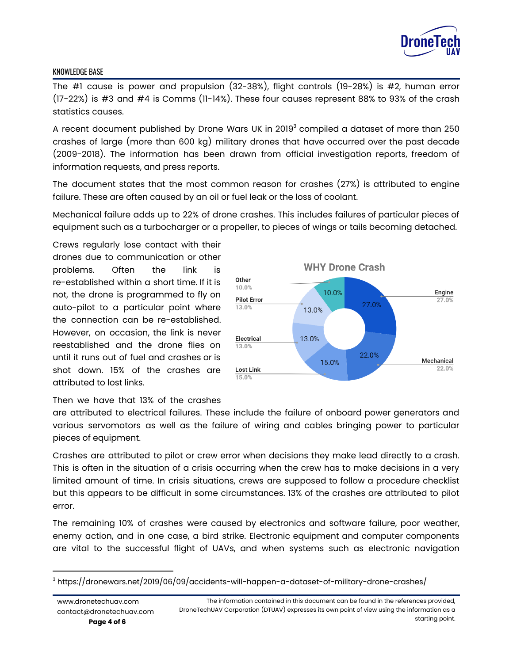

The #1 cause is power and propulsion (32-38%), flight controls (19-28%) is #2, human error (17-22%) is #3 and #4 is Comms (11-14%). These four causes represent 88% to 93% of the crash statistics causes.

A recent document published by Drone Wars UK in 2019 $^{\rm 3}$  compiled a dataset of more than 250 crashes of large (more than 600 kg) military drones that have occurred over the past decade (2009-2018). The information has been drawn from official investigation reports, freedom of information requests, and press reports.

The document states that the most common reason for crashes (27%) is attributed to engine failure. These are often caused by an oil or fuel leak or the loss of coolant.

Mechanical failure adds up to 22% of drone crashes. This includes failures of particular pieces of equipment such as a turbocharger or a propeller, to pieces of wings or tails becoming detached.

Crews regularly lose contact with their drones due to communication or other problems. Often the link is re-established within a short time. If it is not, the drone is programmed to fly on auto-pilot to a particular point where the connection can be re-established. However, on occasion, the link is never reestablished and the drone flies on until it runs out of fuel and crashes or is shot down. 15% of the crashes are attributed to lost links.



#### Then we have that 13% of the crashes

are attributed to electrical failures. These include the failure of onboard power generators and various servomotors as well as the failure of wiring and cables bringing power to particular pieces of equipment.

Crashes are attributed to pilot or crew error when decisions they make lead directly to a crash. This is often in the situation of a crisis occurring when the crew has to make decisions in a very limited amount of time. In crisis situations, crews are supposed to follow a procedure checklist but this appears to be difficult in some circumstances. 13% of the crashes are attributed to pilot error.

The remaining 10% of crashes were caused by electronics and software failure, poor weather, enemy action, and in one case, a bird strike. Electronic equipment and computer components are vital to the successful flight of UAVs, and when systems such as electronic navigation

 $^3$  https://dronewars.net/2019/06/09/accidents-will-happen-a-dataset-of-military-drone-crashes/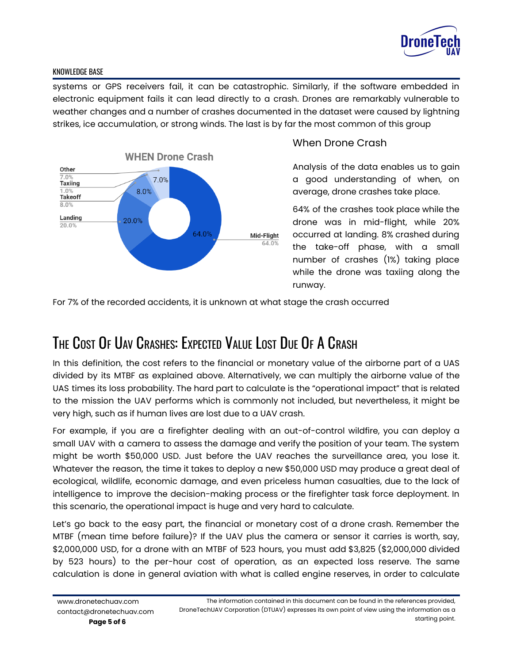

systems or GPS receivers fail, it can be catastrophic. Similarly, if the software embedded in electronic equipment fails it can lead directly to a crash. Drones are remarkably vulnerable to weather changes and a number of crashes documented in the dataset were caused by lightning strikes, ice accumulation, or strong winds. The last is by far the most common of this group



#### When Drone Crash

Analysis of the data enables us to gain a good understanding of when, on average, drone crashes take place.

64% of the crashes took place while the drone was in mid-flight, while 20% occurred at landing. 8% crashed during the take-off phase, with a small number of crashes (1%) taking place while the drone was taxiing along the runway.

For 7% of the recorded accidents, it is unknown at what stage the crash occurred

## THE COST O<sup>F</sup> UAV CRASHES: EXPECTED VALUE LOST DUE O<sup>F</sup> A CRASH

In this definition, the cost refers to the financial or monetary value of the airborne part of a UAS divided by its MTBF as explained above. Alternatively, we can multiply the airborne value of the UAS times its loss probability. The hard part to calculate is the "operational impact" that is related to the mission the UAV performs which is commonly not included, but nevertheless, it might be very high, such as if human lives are lost due to a UAV crash.

For example, if you are a firefighter dealing with an out-of-control wildfire, you can deploy a small UAV with a camera to assess the damage and verify the position of your team. The system might be worth \$50,000 USD. Just before the UAV reaches the surveillance area, you lose it. Whatever the reason, the time it takes to deploy a new \$50,000 USD may produce a great deal of ecological, wildlife, economic damage, and even priceless human casualties, due to the lack of intelligence to improve the decision-making process or the firefighter task force deployment. In this scenario, the operational impact is huge and very hard to calculate.

Let's go back to the easy part, the financial or monetary cost of a drone crash. Remember the MTBF (mean time before failure)? If the UAV plus the camera or sensor it carries is worth, say, \$2,000,000 USD, for a drone with an MTBF of 523 hours, you must add \$3,825 (\$2,000,000 divided by 523 hours) to the per-hour cost of operation, as an expected loss reserve. The same calculation is done in general aviation with what is called engine reserves, in order to calculate